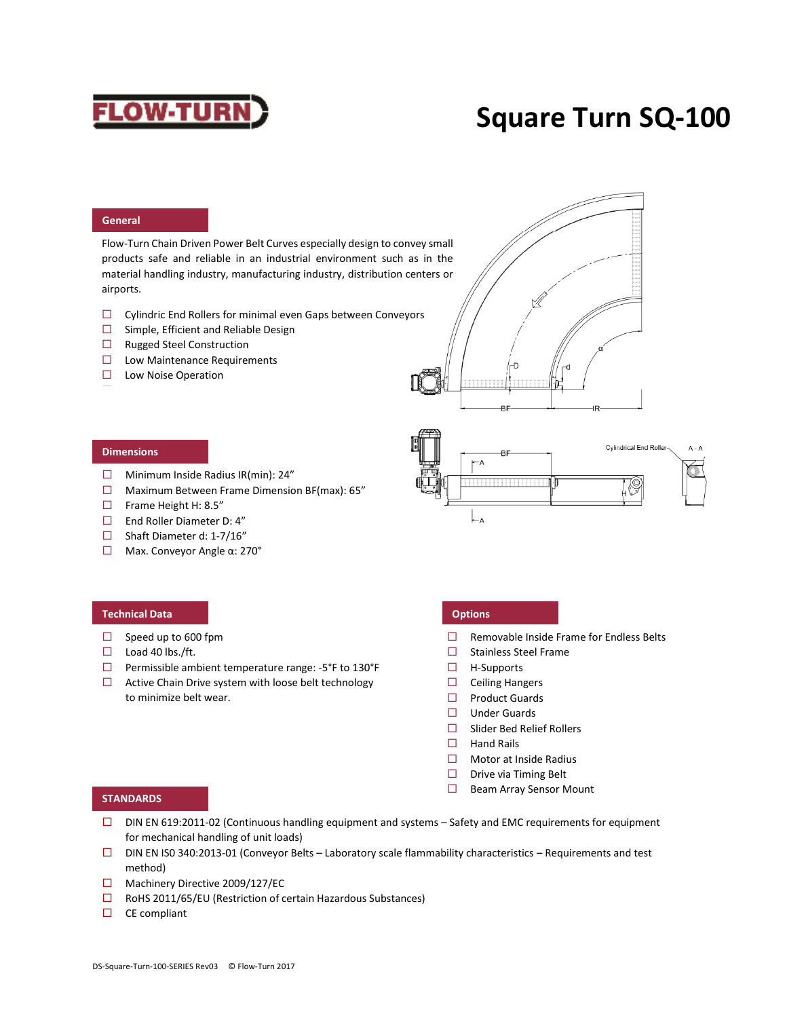# **FLOW-TURN**

## **Square Turn SQ-100**

### **General**

Flow-Turn Chain Driven Power Belt Curves especially design to convey small products safe and reliable in an industrial environment such as in the material handling industry, manufacturing industry, distribution centers or airports.

- Cylindric End Rollers for minimal even Gaps between Conveyors
- $\square$  Simple, Efficient and Reliable Design
- □ Rugged Steel Construction
- $\square$  Low Maintenance Requirements
- $\square$  Low Noise Operation Easy Belt Replacement





### **Dimensions**

- $\Box$  Minimum Inside Radius IR(min): 24"
- $\Box$  Maximum Between Frame Dimension BF(max): 65"
- $\Box$  Frame Height H: 8.5"
- End Roller Diameter D: 4"
- $\Box$  Shaft Diameter d: 1-7/16"
- Max. Conveyor Angle α: 270°

### **Technical Data Options**

- $\Box$  Speed up to 600 fpm
- $\Box$  Load 40 lbs./ft.
- $\Box$  Permissible ambient temperature range: -5°F to 130°F
- $\Box$  Active Chain Drive system with loose belt technology to minimize belt wear.

- $\Box$  Removable Inside Frame for Endless Belts
- $\Box$  Stainless Steel Frame
- $\Box$  H-Supports
- $\Box$  Ceiling Hangers
- $\square$  Product Guards
- $\Box$  Under Guards
- Slider Bed Relief Rollers
- $\Box$  Hand Rails
- □ Motor at Inside Radius
- $\square$  Drive via Timing Belt
- $\Box$  Beam Array Sensor Mount

### **STANDARDS**

- □ DIN EN 619:2011-02 (Continuous handling equipment and systems Safety and EMC requirements for equipment for mechanical handling of unit loads)
- DIN EN IS0 340:2013-01 (Conveyor Belts Laboratory scale flammability characteristics Requirements and test method)
- □ Machinery Directive 2009/127/EC
- $\square$  RoHS 2011/65/EU (Restriction of certain Hazardous Substances)
- $\square$  CE compliant